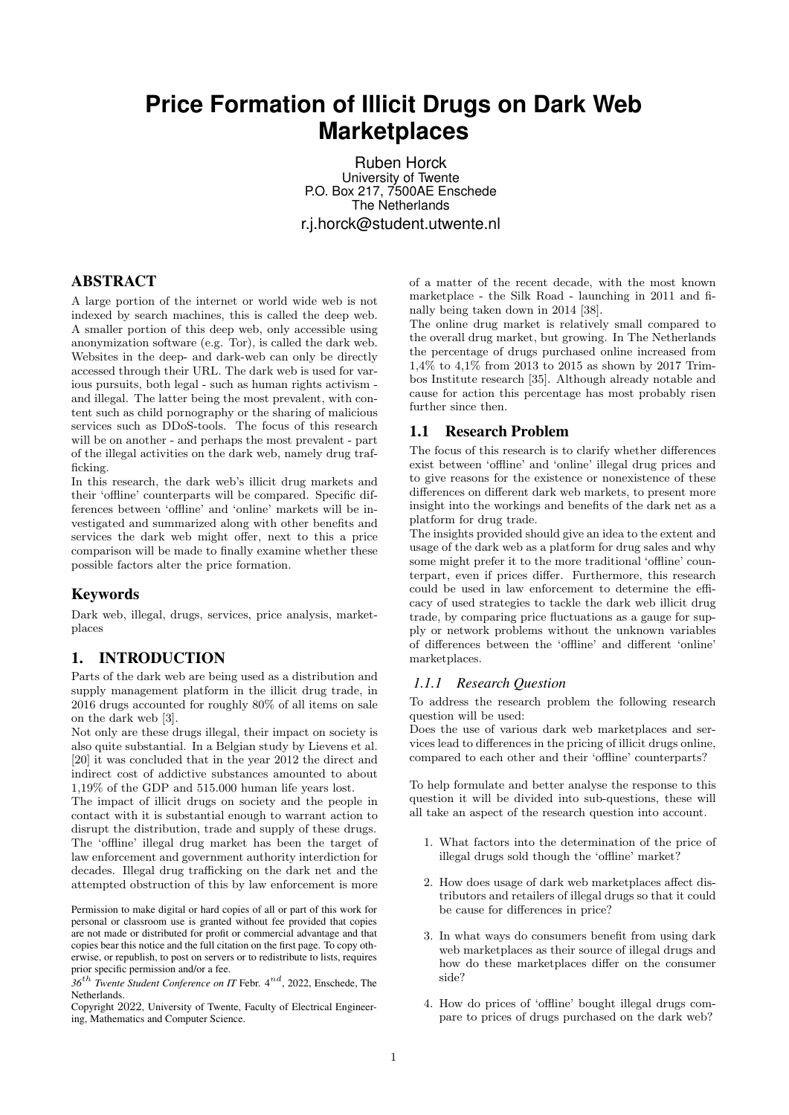# **Price Formation of Illicit Drugs on Dark Web Marketplaces**

Ruben Horck University of Twente P.O. Box 217, 7500AE Enschede The Netherlands r.j.horck@student.utwente.nl

### ABSTRACT

A large portion of the internet or world wide web is not indexed by search machines, this is called the deep web. A smaller portion of this deep web, only accessible using anonymization software (e.g. Tor), is called the dark web. Websites in the deep- and dark-web can only be directly accessed through their URL. The dark web is used for various pursuits, both legal - such as human rights activism and illegal. The latter being the most prevalent, with content such as child pornography or the sharing of malicious services such as DDoS-tools. The focus of this research will be on another - and perhaps the most prevalent - part of the illegal activities on the dark web, namely drug trafficking.

In this research, the dark web's illicit drug markets and their 'offline' counterparts will be compared. Specific differences between 'offline' and 'online' markets will be investigated and summarized along with other benefits and services the dark web might offer, next to this a price comparison will be made to finally examine whether these possible factors alter the price formation.

### Keywords

Dark web, illegal, drugs, services, price analysis, marketplaces

# 1. INTRODUCTION

Parts of the dark web are being used as a distribution and supply management platform in the illicit drug trade, in 2016 drugs accounted for roughly 80% of all items on sale on the dark web [3].

Not only are these drugs illegal, their impact on society is also quite substantial. In a Belgian study by Lievens et al. [20] it was concluded that in the year 2012 the direct and indirect cost of addictive substances amounted to about 1,19% of the GDP and 515.000 human life years lost.

The impact of illicit drugs on society and the people in contact with it is substantial enough to warrant action to disrupt the distribution, trade and supply of these drugs. The 'offline' illegal drug market has been the target of law enforcement and government authority interdiction for decades. Illegal drug trafficking on the dark net and the attempted obstruction of this by law enforcement is more

Permission to make digital or hard copies of all or part of this work for personal or classroom use is granted without fee provided that copies are not made or distributed for profit or commercial advantage and that copies bear this notice and the full citation on the first page. To copy otherwise, or republish, to post on servers or to redistribute to lists, requires prior specific permission and/or a fee.

*<sup>36</sup>*th *Twente Student Conference on IT* Febr. 4nd, 2022, Enschede, The Netherlands.

Copyright 2022, University of Twente, Faculty of Electrical Engineering, Mathematics and Computer Science.

of a matter of the recent decade, with the most known marketplace - the Silk Road - launching in 2011 and finally being taken down in 2014 [38].

The online drug market is relatively small compared to the overall drug market, but growing. In The Netherlands the percentage of drugs purchased online increased from 1,4% to 4,1% from 2013 to 2015 as shown by 2017 Trimbos Institute research [35]. Although already notable and cause for action this percentage has most probably risen further since then.

# 1.1 Research Problem

The focus of this research is to clarify whether differences exist between 'offline' and 'online' illegal drug prices and to give reasons for the existence or nonexistence of these differences on different dark web markets, to present more insight into the workings and benefits of the dark net as a platform for drug trade.

The insights provided should give an idea to the extent and usage of the dark web as a platform for drug sales and why some might prefer it to the more traditional 'offline' counterpart, even if prices differ. Furthermore, this research could be used in law enforcement to determine the efficacy of used strategies to tackle the dark web illicit drug trade, by comparing price fluctuations as a gauge for supply or network problems without the unknown variables of differences between the 'offline' and different 'online' marketplaces.

### *1.1.1 Research Question*

To address the research problem the following research question will be used:

Does the use of various dark web marketplaces and services lead to differences in the pricing of illicit drugs online, compared to each other and their 'offline' counterparts?

To help formulate and better analyse the response to this question it will be divided into sub-questions, these will all take an aspect of the research question into account.

- 1. What factors into the determination of the price of illegal drugs sold though the 'offline' market?
- 2. How does usage of dark web marketplaces affect distributors and retailers of illegal drugs so that it could be cause for differences in price?
- 3. In what ways do consumers benefit from using dark web marketplaces as their source of illegal drugs and how do these marketplaces differ on the consumer side?
- 4. How do prices of 'offline' bought illegal drugs compare to prices of drugs purchased on the dark web?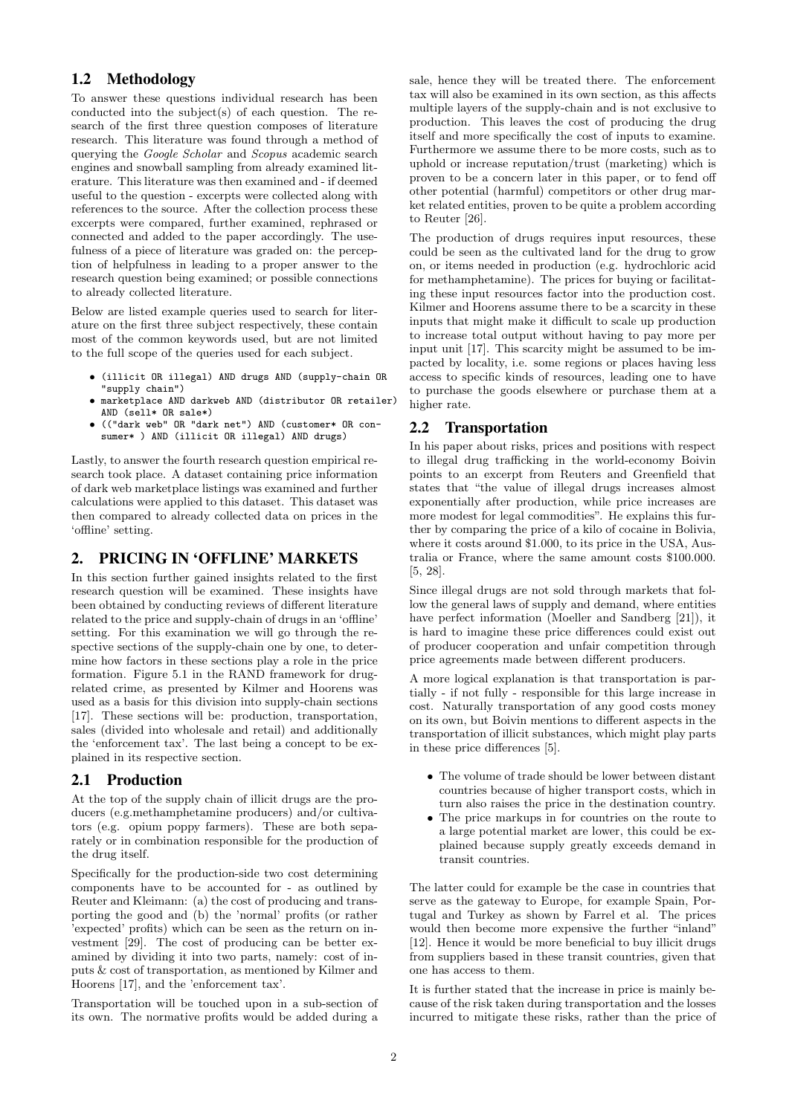# 1.2 Methodology

To answer these questions individual research has been conducted into the subject(s) of each question. The research of the first three question composes of literature research. This literature was found through a method of querying the *Google Scholar* and *Scopus* academic search engines and snowball sampling from already examined literature. This literature was then examined and - if deemed useful to the question - excerpts were collected along with references to the source. After the collection process these excerpts were compared, further examined, rephrased or connected and added to the paper accordingly. The usefulness of a piece of literature was graded on: the perception of helpfulness in leading to a proper answer to the research question being examined; or possible connections to already collected literature.

Below are listed example queries used to search for literature on the first three subject respectively, these contain most of the common keywords used, but are not limited to the full scope of the queries used for each subject.

- (illicit OR illegal) AND drugs AND (supply-chain OR "supply chain")
- marketplace AND darkweb AND (distributor OR retailer) AND (sell\* OR sale\*)
- (("dark web" OR "dark net") AND (customer\* OR consumer\* ) AND (illicit OR illegal) AND drugs)

Lastly, to answer the fourth research question empirical research took place. A dataset containing price information of dark web marketplace listings was examined and further calculations were applied to this dataset. This dataset was then compared to already collected data on prices in the 'offline' setting.

# 2. PRICING IN 'OFFLINE' MARKETS

In this section further gained insights related to the first research question will be examined. These insights have been obtained by conducting reviews of different literature related to the price and supply-chain of drugs in an 'offline' setting. For this examination we will go through the respective sections of the supply-chain one by one, to determine how factors in these sections play a role in the price formation. Figure 5.1 in the RAND framework for drugrelated crime, as presented by Kilmer and Hoorens was used as a basis for this division into supply-chain sections [17]. These sections will be: production, transportation, sales (divided into wholesale and retail) and additionally the 'enforcement tax'. The last being a concept to be explained in its respective section.

### 2.1 Production

At the top of the supply chain of illicit drugs are the producers (e.g.methamphetamine producers) and/or cultivators (e.g. opium poppy farmers). These are both separately or in combination responsible for the production of the drug itself.

Specifically for the production-side two cost determining components have to be accounted for - as outlined by Reuter and Kleimann: (a) the cost of producing and transporting the good and (b) the 'normal' profits (or rather 'expected' profits) which can be seen as the return on investment [29]. The cost of producing can be better examined by dividing it into two parts, namely: cost of inputs & cost of transportation, as mentioned by Kilmer and Hoorens [17], and the 'enforcement tax'.

Transportation will be touched upon in a sub-section of its own. The normative profits would be added during a

sale, hence they will be treated there. The enforcement tax will also be examined in its own section, as this affects multiple layers of the supply-chain and is not exclusive to production. This leaves the cost of producing the drug itself and more specifically the cost of inputs to examine. Furthermore we assume there to be more costs, such as to uphold or increase reputation/trust (marketing) which is proven to be a concern later in this paper, or to fend off other potential (harmful) competitors or other drug market related entities, proven to be quite a problem according to Reuter [26].

The production of drugs requires input resources, these could be seen as the cultivated land for the drug to grow on, or items needed in production (e.g. hydrochloric acid for methamphetamine). The prices for buying or facilitating these input resources factor into the production cost. Kilmer and Hoorens assume there to be a scarcity in these inputs that might make it difficult to scale up production to increase total output without having to pay more per input unit [17]. This scarcity might be assumed to be impacted by locality, i.e. some regions or places having less access to specific kinds of resources, leading one to have to purchase the goods elsewhere or purchase them at a higher rate.

# 2.2 Transportation

In his paper about risks, prices and positions with respect to illegal drug trafficking in the world-economy Boivin points to an excerpt from Reuters and Greenfield that states that "the value of illegal drugs increases almost exponentially after production, while price increases are more modest for legal commodities". He explains this further by comparing the price of a kilo of cocaine in Bolivia, where it costs around \$1,000, to its price in the USA, Australia or France, where the same amount costs \$100.000. [5, 28].

Since illegal drugs are not sold through markets that follow the general laws of supply and demand, where entities have perfect information (Moeller and Sandberg [21]), it is hard to imagine these price differences could exist out of producer cooperation and unfair competition through price agreements made between different producers.

A more logical explanation is that transportation is partially - if not fully - responsible for this large increase in cost. Naturally transportation of any good costs money on its own, but Boivin mentions to different aspects in the transportation of illicit substances, which might play parts in these price differences [5].

- The volume of trade should be lower between distant countries because of higher transport costs, which in turn also raises the price in the destination country.
- The price markups in for countries on the route to a large potential market are lower, this could be explained because supply greatly exceeds demand in transit countries.

The latter could for example be the case in countries that serve as the gateway to Europe, for example Spain, Portugal and Turkey as shown by Farrel et al. The prices would then become more expensive the further "inland" [12]. Hence it would be more beneficial to buy illicit drugs from suppliers based in these transit countries, given that one has access to them.

It is further stated that the increase in price is mainly because of the risk taken during transportation and the losses incurred to mitigate these risks, rather than the price of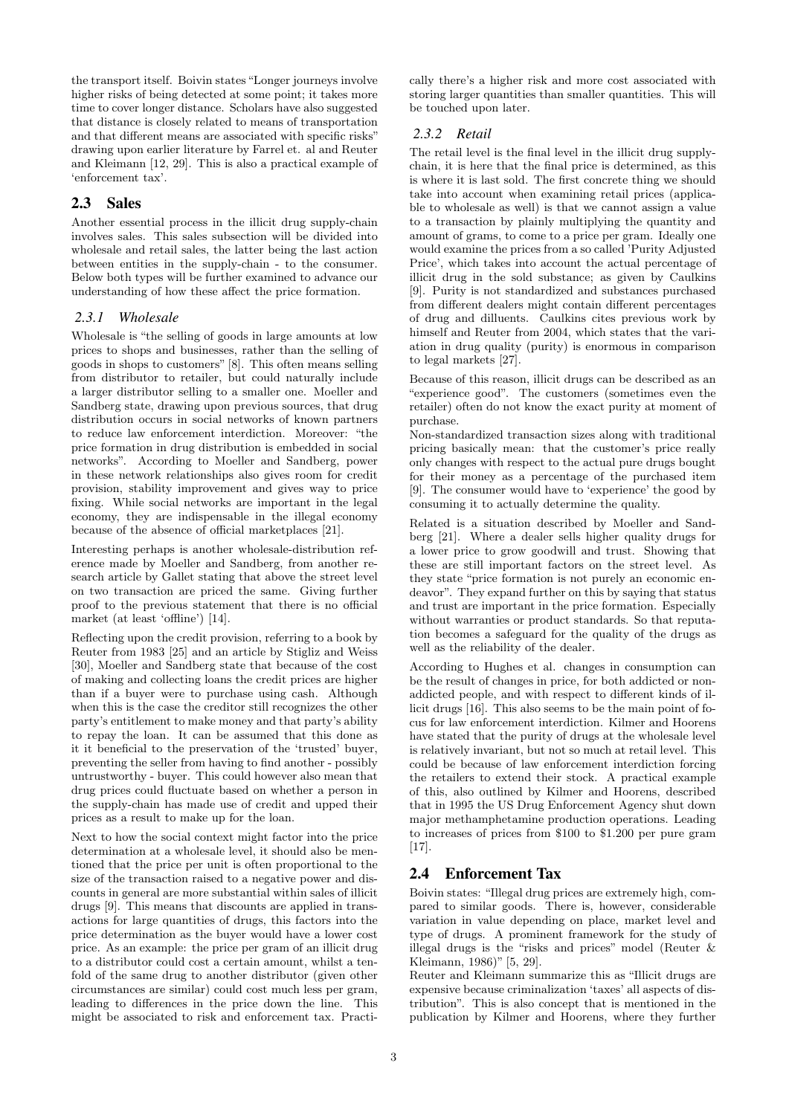the transport itself. Boivin states "Longer journeys involve higher risks of being detected at some point; it takes more time to cover longer distance. Scholars have also suggested that distance is closely related to means of transportation and that different means are associated with specific risks" drawing upon earlier literature by Farrel et. al and Reuter and Kleimann [12, 29]. This is also a practical example of 'enforcement tax'.

### 2.3 Sales

Another essential process in the illicit drug supply-chain involves sales. This sales subsection will be divided into wholesale and retail sales, the latter being the last action between entities in the supply-chain - to the consumer. Below both types will be further examined to advance our understanding of how these affect the price formation.

### *2.3.1 Wholesale*

Wholesale is "the selling of goods in large amounts at low prices to shops and businesses, rather than the selling of goods in shops to customers" [8]. This often means selling from distributor to retailer, but could naturally include a larger distributor selling to a smaller one. Moeller and Sandberg state, drawing upon previous sources, that drug distribution occurs in social networks of known partners to reduce law enforcement interdiction. Moreover: "the price formation in drug distribution is embedded in social networks". According to Moeller and Sandberg, power in these network relationships also gives room for credit provision, stability improvement and gives way to price fixing. While social networks are important in the legal economy, they are indispensable in the illegal economy because of the absence of official marketplaces [21].

Interesting perhaps is another wholesale-distribution reference made by Moeller and Sandberg, from another research article by Gallet stating that above the street level on two transaction are priced the same. Giving further proof to the previous statement that there is no official market (at least 'offline') [14].

Reflecting upon the credit provision, referring to a book by Reuter from 1983 [25] and an article by Stigliz and Weiss [30], Moeller and Sandberg state that because of the cost of making and collecting loans the credit prices are higher than if a buyer were to purchase using cash. Although when this is the case the creditor still recognizes the other party's entitlement to make money and that party's ability to repay the loan. It can be assumed that this done as it it beneficial to the preservation of the 'trusted' buyer, preventing the seller from having to find another - possibly untrustworthy - buyer. This could however also mean that drug prices could fluctuate based on whether a person in the supply-chain has made use of credit and upped their prices as a result to make up for the loan.

Next to how the social context might factor into the price determination at a wholesale level, it should also be mentioned that the price per unit is often proportional to the size of the transaction raised to a negative power and discounts in general are more substantial within sales of illicit drugs [9]. This means that discounts are applied in transactions for large quantities of drugs, this factors into the price determination as the buyer would have a lower cost price. As an example: the price per gram of an illicit drug to a distributor could cost a certain amount, whilst a tenfold of the same drug to another distributor (given other circumstances are similar) could cost much less per gram, leading to differences in the price down the line. This might be associated to risk and enforcement tax. Practically there's a higher risk and more cost associated with storing larger quantities than smaller quantities. This will be touched upon later.

# *2.3.2 Retail*

The retail level is the final level in the illicit drug supplychain, it is here that the final price is determined, as this is where it is last sold. The first concrete thing we should take into account when examining retail prices (applicable to wholesale as well) is that we cannot assign a value to a transaction by plainly multiplying the quantity and amount of grams, to come to a price per gram. Ideally one would examine the prices from a so called 'Purity Adjusted Price', which takes into account the actual percentage of illicit drug in the sold substance; as given by Caulkins [9]. Purity is not standardized and substances purchased from different dealers might contain different percentages of drug and dilluents. Caulkins cites previous work by himself and Reuter from 2004, which states that the variation in drug quality (purity) is enormous in comparison to legal markets [27].

Because of this reason, illicit drugs can be described as an "experience good". The customers (sometimes even the retailer) often do not know the exact purity at moment of purchase.

Non-standardized transaction sizes along with traditional pricing basically mean: that the customer's price really only changes with respect to the actual pure drugs bought for their money as a percentage of the purchased item [9]. The consumer would have to 'experience' the good by consuming it to actually determine the quality.

Related is a situation described by Moeller and Sandberg [21]. Where a dealer sells higher quality drugs for a lower price to grow goodwill and trust. Showing that these are still important factors on the street level. As they state "price formation is not purely an economic endeavor". They expand further on this by saying that status and trust are important in the price formation. Especially without warranties or product standards. So that reputation becomes a safeguard for the quality of the drugs as well as the reliability of the dealer.

According to Hughes et al. changes in consumption can be the result of changes in price, for both addicted or nonaddicted people, and with respect to different kinds of illicit drugs [16]. This also seems to be the main point of focus for law enforcement interdiction. Kilmer and Hoorens have stated that the purity of drugs at the wholesale level is relatively invariant, but not so much at retail level. This could be because of law enforcement interdiction forcing the retailers to extend their stock. A practical example of this, also outlined by Kilmer and Hoorens, described that in 1995 the US Drug Enforcement Agency shut down major methamphetamine production operations. Leading to increases of prices from \$100 to \$1.200 per pure gram [17].

# 2.4 Enforcement Tax

Boivin states: "Illegal drug prices are extremely high, compared to similar goods. There is, however, considerable variation in value depending on place, market level and type of drugs. A prominent framework for the study of illegal drugs is the "risks and prices" model (Reuter & Kleimann, 1986)" [5, 29].

Reuter and Kleimann summarize this as "Illicit drugs are expensive because criminalization 'taxes' all aspects of distribution". This is also concept that is mentioned in the publication by Kilmer and Hoorens, where they further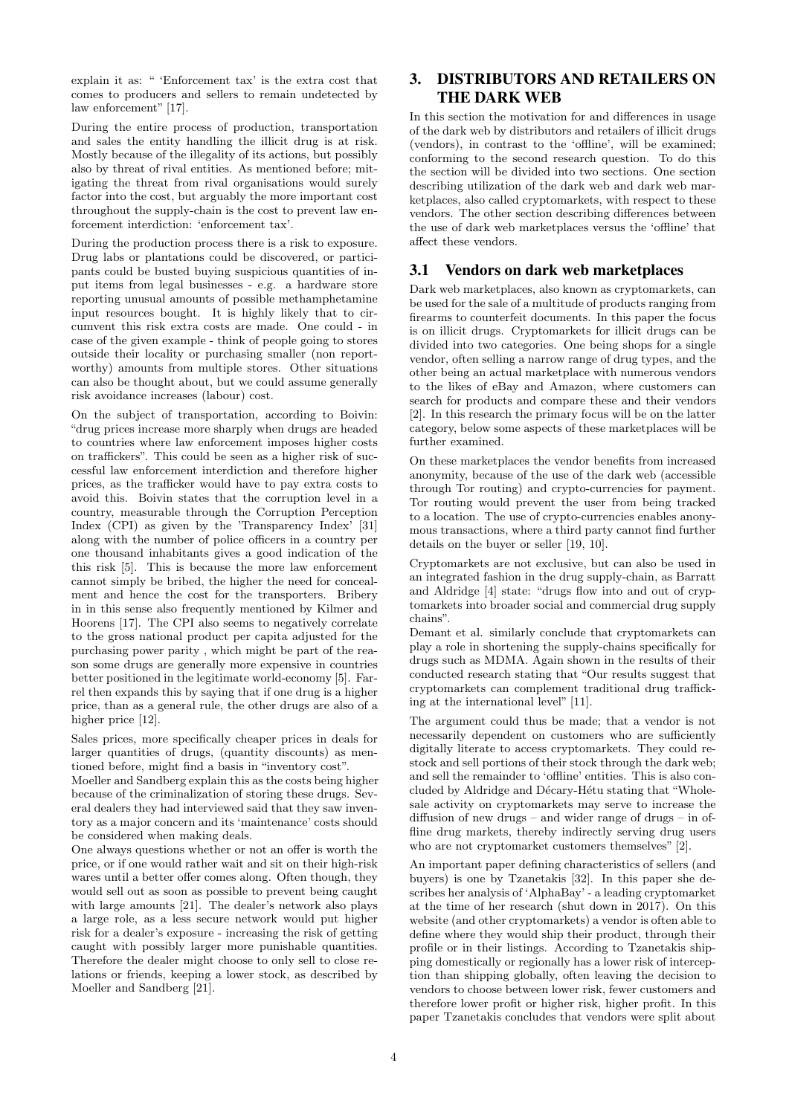explain it as: " 'Enforcement tax' is the extra cost that comes to producers and sellers to remain undetected by law enforcement" [17].

During the entire process of production, transportation and sales the entity handling the illicit drug is at risk. Mostly because of the illegality of its actions, but possibly also by threat of rival entities. As mentioned before; mitigating the threat from rival organisations would surely factor into the cost, but arguably the more important cost throughout the supply-chain is the cost to prevent law enforcement interdiction: 'enforcement tax'.

During the production process there is a risk to exposure. Drug labs or plantations could be discovered, or participants could be busted buying suspicious quantities of input items from legal businesses - e.g. a hardware store reporting unusual amounts of possible methamphetamine input resources bought. It is highly likely that to circumvent this risk extra costs are made. One could - in case of the given example - think of people going to stores outside their locality or purchasing smaller (non reportworthy) amounts from multiple stores. Other situations can also be thought about, but we could assume generally risk avoidance increases (labour) cost.

On the subject of transportation, according to Boivin: "drug prices increase more sharply when drugs are headed to countries where law enforcement imposes higher costs on traffickers". This could be seen as a higher risk of successful law enforcement interdiction and therefore higher prices, as the trafficker would have to pay extra costs to avoid this. Boivin states that the corruption level in a country, measurable through the Corruption Perception Index (CPI) as given by the 'Transparency Index' [31] along with the number of police officers in a country per one thousand inhabitants gives a good indication of the this risk [5]. This is because the more law enforcement cannot simply be bribed, the higher the need for concealment and hence the cost for the transporters. Bribery in in this sense also frequently mentioned by Kilmer and Hoorens [17]. The CPI also seems to negatively correlate to the gross national product per capita adjusted for the purchasing power parity , which might be part of the reason some drugs are generally more expensive in countries better positioned in the legitimate world-economy [5]. Farrel then expands this by saying that if one drug is a higher price, than as a general rule, the other drugs are also of a higher price [12].

Sales prices, more specifically cheaper prices in deals for larger quantities of drugs, (quantity discounts) as mentioned before, might find a basis in "inventory cost".

Moeller and Sandberg explain this as the costs being higher because of the criminalization of storing these drugs. Several dealers they had interviewed said that they saw inventory as a major concern and its 'maintenance' costs should be considered when making deals.

One always questions whether or not an offer is worth the price, or if one would rather wait and sit on their high-risk wares until a better offer comes along. Often though, they would sell out as soon as possible to prevent being caught with large amounts [21]. The dealer's network also plays a large role, as a less secure network would put higher risk for a dealer's exposure - increasing the risk of getting caught with possibly larger more punishable quantities. Therefore the dealer might choose to only sell to close relations or friends, keeping a lower stock, as described by Moeller and Sandberg [21].

# 3. DISTRIBUTORS AND RETAILERS ON THE DARK WEB

In this section the motivation for and differences in usage of the dark web by distributors and retailers of illicit drugs (vendors), in contrast to the 'offline', will be examined; conforming to the second research question. To do this the section will be divided into two sections. One section describing utilization of the dark web and dark web marketplaces, also called cryptomarkets, with respect to these vendors. The other section describing differences between the use of dark web marketplaces versus the 'offline' that affect these vendors.

### 3.1 Vendors on dark web marketplaces

Dark web marketplaces, also known as cryptomarkets, can be used for the sale of a multitude of products ranging from firearms to counterfeit documents. In this paper the focus is on illicit drugs. Cryptomarkets for illicit drugs can be divided into two categories. One being shops for a single vendor, often selling a narrow range of drug types, and the other being an actual marketplace with numerous vendors to the likes of eBay and Amazon, where customers can search for products and compare these and their vendors [2]. In this research the primary focus will be on the latter category, below some aspects of these marketplaces will be further examined.

On these marketplaces the vendor benefits from increased anonymity, because of the use of the dark web (accessible through Tor routing) and crypto-currencies for payment. Tor routing would prevent the user from being tracked to a location. The use of crypto-currencies enables anonymous transactions, where a third party cannot find further details on the buyer or seller [19, 10].

Cryptomarkets are not exclusive, but can also be used in an integrated fashion in the drug supply-chain, as Barratt and Aldridge [4] state: "drugs flow into and out of cryptomarkets into broader social and commercial drug supply chains".

Demant et al. similarly conclude that cryptomarkets can play a role in shortening the supply-chains specifically for drugs such as MDMA. Again shown in the results of their conducted research stating that "Our results suggest that cryptomarkets can complement traditional drug trafficking at the international level" [11].

The argument could thus be made; that a vendor is not necessarily dependent on customers who are sufficiently digitally literate to access cryptomarkets. They could restock and sell portions of their stock through the dark web; and sell the remainder to 'offline' entities. This is also concluded by Aldridge and Décary-Hétu stating that "Wholesale activity on cryptomarkets may serve to increase the diffusion of new drugs – and wider range of drugs – in offline drug markets, thereby indirectly serving drug users who are not cryptomarket customers themselves" [2].

An important paper defining characteristics of sellers (and buyers) is one by Tzanetakis [32]. In this paper she describes her analysis of 'AlphaBay' - a leading cryptomarket at the time of her research (shut down in 2017). On this website (and other cryptomarkets) a vendor is often able to define where they would ship their product, through their profile or in their listings. According to Tzanetakis shipping domestically or regionally has a lower risk of interception than shipping globally, often leaving the decision to vendors to choose between lower risk, fewer customers and therefore lower profit or higher risk, higher profit. In this paper Tzanetakis concludes that vendors were split about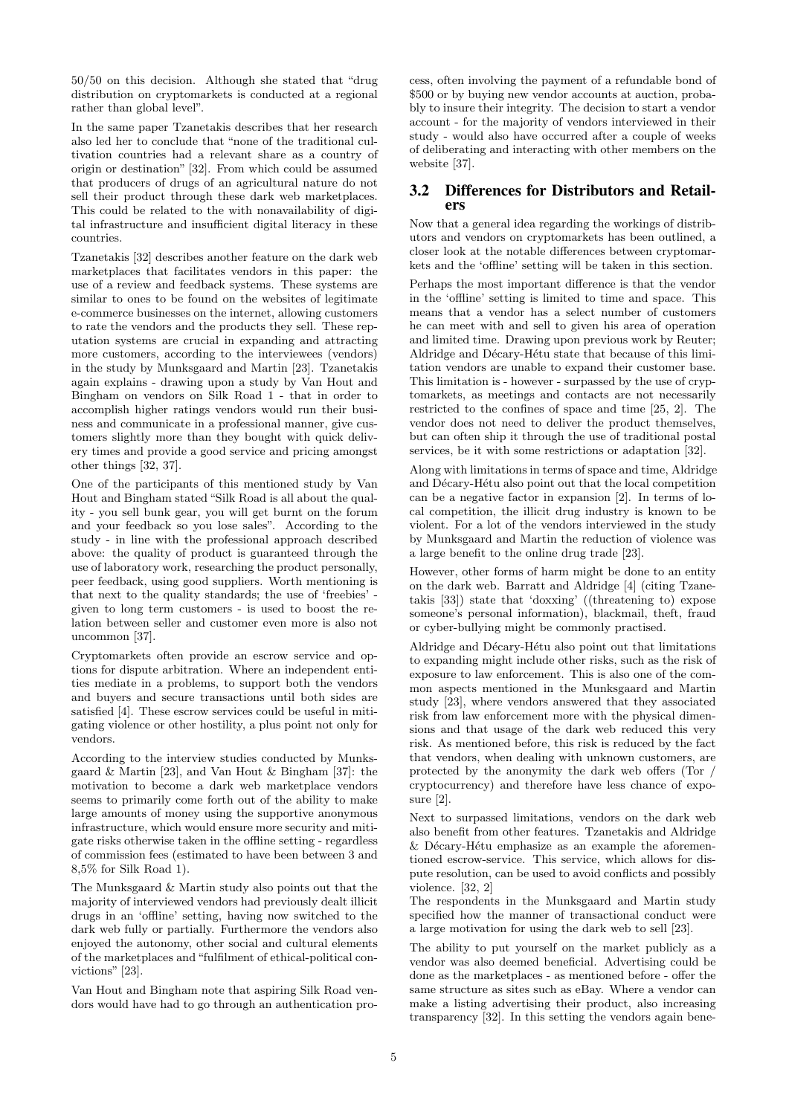50/50 on this decision. Although she stated that "drug distribution on cryptomarkets is conducted at a regional rather than global level".

In the same paper Tzanetakis describes that her research also led her to conclude that "none of the traditional cultivation countries had a relevant share as a country of origin or destination" [32]. From which could be assumed that producers of drugs of an agricultural nature do not sell their product through these dark web marketplaces. This could be related to the with nonavailability of digital infrastructure and insufficient digital literacy in these countries.

Tzanetakis [32] describes another feature on the dark web marketplaces that facilitates vendors in this paper: the use of a review and feedback systems. These systems are similar to ones to be found on the websites of legitimate e-commerce businesses on the internet, allowing customers to rate the vendors and the products they sell. These reputation systems are crucial in expanding and attracting more customers, according to the interviewees (vendors) in the study by Munksgaard and Martin [23]. Tzanetakis again explains - drawing upon a study by Van Hout and Bingham on vendors on Silk Road 1 - that in order to accomplish higher ratings vendors would run their business and communicate in a professional manner, give customers slightly more than they bought with quick delivery times and provide a good service and pricing amongst other things [32, 37].

One of the participants of this mentioned study by Van Hout and Bingham stated "Silk Road is all about the quality - you sell bunk gear, you will get burnt on the forum and your feedback so you lose sales". According to the study - in line with the professional approach described above: the quality of product is guaranteed through the use of laboratory work, researching the product personally, peer feedback, using good suppliers. Worth mentioning is that next to the quality standards; the use of 'freebies' given to long term customers - is used to boost the relation between seller and customer even more is also not uncommon [37].

Cryptomarkets often provide an escrow service and options for dispute arbitration. Where an independent entities mediate in a problems, to support both the vendors and buyers and secure transactions until both sides are satisfied [4]. These escrow services could be useful in mitigating violence or other hostility, a plus point not only for vendors.

According to the interview studies conducted by Munksgaard & Martin [23], and Van Hout & Bingham [37]: the motivation to become a dark web marketplace vendors seems to primarily come forth out of the ability to make large amounts of money using the supportive anonymous infrastructure, which would ensure more security and mitigate risks otherwise taken in the offline setting - regardless of commission fees (estimated to have been between 3 and 8,5% for Silk Road 1).

The Munksgaard & Martin study also points out that the majority of interviewed vendors had previously dealt illicit drugs in an 'offline' setting, having now switched to the dark web fully or partially. Furthermore the vendors also enjoyed the autonomy, other social and cultural elements of the marketplaces and "fulfilment of ethical-political convictions" [23].

Van Hout and Bingham note that aspiring Silk Road vendors would have had to go through an authentication pro-

cess, often involving the payment of a refundable bond of \$500 or by buying new vendor accounts at auction, probably to insure their integrity. The decision to start a vendor account - for the majority of vendors interviewed in their study - would also have occurred after a couple of weeks of deliberating and interacting with other members on the website [37].

# 3.2 Differences for Distributors and Retailers

Now that a general idea regarding the workings of distributors and vendors on cryptomarkets has been outlined, a closer look at the notable differences between cryptomarkets and the 'offline' setting will be taken in this section.

Perhaps the most important difference is that the vendor in the 'offline' setting is limited to time and space. This means that a vendor has a select number of customers he can meet with and sell to given his area of operation and limited time. Drawing upon previous work by Reuter; Aldridge and Décary-Hétu state that because of this limitation vendors are unable to expand their customer base. This limitation is - however - surpassed by the use of cryptomarkets, as meetings and contacts are not necessarily restricted to the confines of space and time [25, 2]. The vendor does not need to deliver the product themselves, but can often ship it through the use of traditional postal services, be it with some restrictions or adaptation [32].

Along with limitations in terms of space and time, Aldridge and Décary-Hétu also point out that the local competition can be a negative factor in expansion [2]. In terms of local competition, the illicit drug industry is known to be violent. For a lot of the vendors interviewed in the study by Munksgaard and Martin the reduction of violence was a large benefit to the online drug trade [23].

However, other forms of harm might be done to an entity on the dark web. Barratt and Aldridge [4] (citing Tzanetakis [33]) state that 'doxxing' ((threatening to) expose someone's personal information), blackmail, theft, fraud or cyber-bullying might be commonly practised.

Aldridge and Décary-Hétu also point out that limitations to expanding might include other risks, such as the risk of exposure to law enforcement. This is also one of the common aspects mentioned in the Munksgaard and Martin study [23], where vendors answered that they associated risk from law enforcement more with the physical dimensions and that usage of the dark web reduced this very risk. As mentioned before, this risk is reduced by the fact that vendors, when dealing with unknown customers, are protected by the anonymity the dark web offers (Tor / cryptocurrency) and therefore have less chance of exposure [2].

Next to surpassed limitations, vendors on the dark web also benefit from other features. Tzanetakis and Aldridge  $&$  Décary-Hétu emphasize as an example the aforementioned escrow-service. This service, which allows for dispute resolution, can be used to avoid conflicts and possibly violence. [32, 2]

The respondents in the Munksgaard and Martin study specified how the manner of transactional conduct were a large motivation for using the dark web to sell [23].

The ability to put yourself on the market publicly as a vendor was also deemed beneficial. Advertising could be done as the marketplaces - as mentioned before - offer the same structure as sites such as eBay. Where a vendor can make a listing advertising their product, also increasing transparency [32]. In this setting the vendors again bene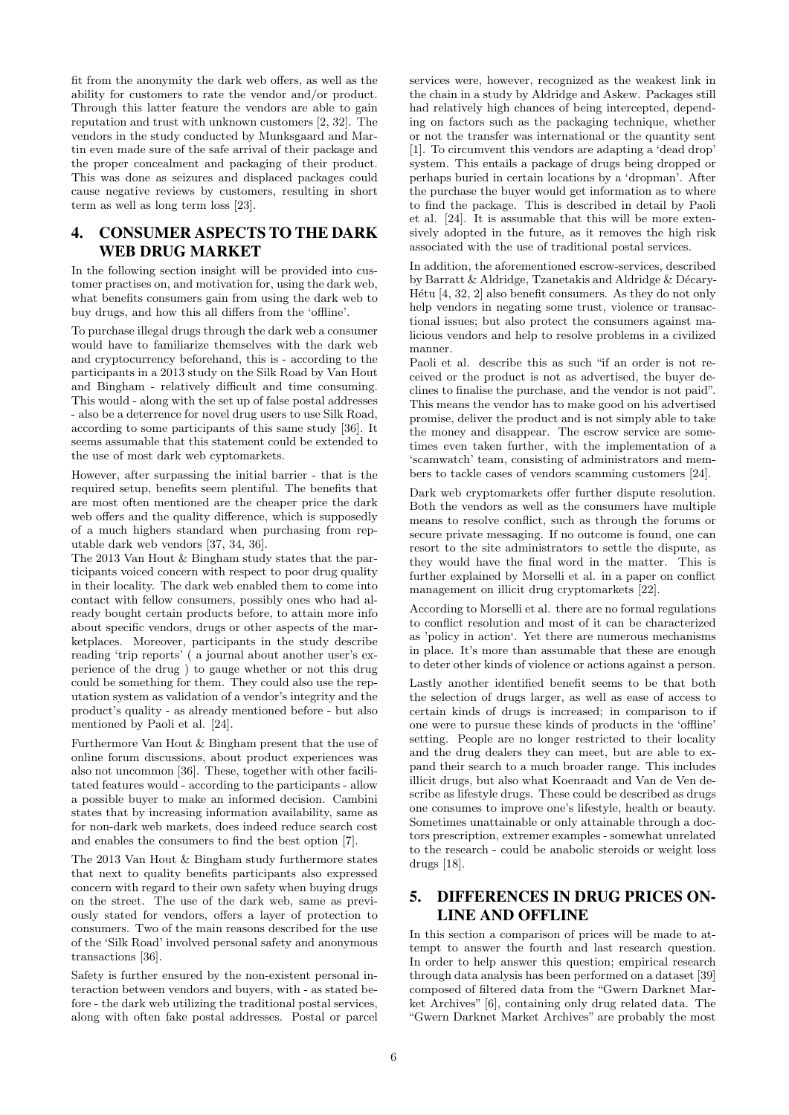fit from the anonymity the dark web offers, as well as the ability for customers to rate the vendor and/or product. Through this latter feature the vendors are able to gain reputation and trust with unknown customers [2, 32]. The vendors in the study conducted by Munksgaard and Martin even made sure of the safe arrival of their package and the proper concealment and packaging of their product. This was done as seizures and displaced packages could cause negative reviews by customers, resulting in short term as well as long term loss [23].

# 4. CONSUMER ASPECTS TO THE DARK WEB DRUG MARKET

In the following section insight will be provided into customer practises on, and motivation for, using the dark web, what benefits consumers gain from using the dark web to buy drugs, and how this all differs from the 'offline'.

To purchase illegal drugs through the dark web a consumer would have to familiarize themselves with the dark web and cryptocurrency beforehand, this is - according to the participants in a 2013 study on the Silk Road by Van Hout and Bingham - relatively difficult and time consuming. This would - along with the set up of false postal addresses - also be a deterrence for novel drug users to use Silk Road, according to some participants of this same study [36]. It seems assumable that this statement could be extended to the use of most dark web cyptomarkets.

However, after surpassing the initial barrier - that is the required setup, benefits seem plentiful. The benefits that are most often mentioned are the cheaper price the dark web offers and the quality difference, which is supposedly of a much highers standard when purchasing from reputable dark web vendors [37, 34, 36].

The 2013 Van Hout & Bingham study states that the participants voiced concern with respect to poor drug quality in their locality. The dark web enabled them to come into contact with fellow consumers, possibly ones who had already bought certain products before, to attain more info about specific vendors, drugs or other aspects of the marketplaces. Moreover, participants in the study describe reading 'trip reports' ( a journal about another user's experience of the drug ) to gauge whether or not this drug could be something for them. They could also use the reputation system as validation of a vendor's integrity and the product's quality - as already mentioned before - but also mentioned by Paoli et al. [24].

Furthermore Van Hout & Bingham present that the use of online forum discussions, about product experiences was also not uncommon [36]. These, together with other facilitated features would - according to the participants - allow a possible buyer to make an informed decision. Cambini states that by increasing information availability, same as for non-dark web markets, does indeed reduce search cost and enables the consumers to find the best option [7].

The 2013 Van Hout & Bingham study furthermore states that next to quality benefits participants also expressed concern with regard to their own safety when buying drugs on the street. The use of the dark web, same as previously stated for vendors, offers a layer of protection to consumers. Two of the main reasons described for the use of the 'Silk Road' involved personal safety and anonymous transactions [36].

Safety is further ensured by the non-existent personal interaction between vendors and buyers, with - as stated before - the dark web utilizing the traditional postal services, along with often fake postal addresses. Postal or parcel services were, however, recognized as the weakest link in the chain in a study by Aldridge and Askew. Packages still had relatively high chances of being intercepted, depending on factors such as the packaging technique, whether or not the transfer was international or the quantity sent [1]. To circumvent this vendors are adapting a 'dead drop' system. This entails a package of drugs being dropped or perhaps buried in certain locations by a 'dropman'. After the purchase the buyer would get information as to where to find the package. This is described in detail by Paoli et al. [24]. It is assumable that this will be more extensively adopted in the future, as it removes the high risk associated with the use of traditional postal services.

In addition, the aforementioned escrow-services, described by Barratt & Aldridge, Tzanetakis and Aldridge & Décary-Hétu  $[4, 32, 2]$  also benefit consumers. As they do not only help vendors in negating some trust, violence or transactional issues; but also protect the consumers against malicious vendors and help to resolve problems in a civilized manner.

Paoli et al. describe this as such "if an order is not received or the product is not as advertised, the buyer declines to finalise the purchase, and the vendor is not paid". This means the vendor has to make good on his advertised promise, deliver the product and is not simply able to take the money and disappear. The escrow service are sometimes even taken further, with the implementation of a 'scamwatch' team, consisting of administrators and members to tackle cases of vendors scamming customers [24].

Dark web cryptomarkets offer further dispute resolution. Both the vendors as well as the consumers have multiple means to resolve conflict, such as through the forums or secure private messaging. If no outcome is found, one can resort to the site administrators to settle the dispute, as they would have the final word in the matter. This is further explained by Morselli et al. in a paper on conflict management on illicit drug cryptomarkets [22].

According to Morselli et al. there are no formal regulations to conflict resolution and most of it can be characterized as 'policy in action'. Yet there are numerous mechanisms in place. It's more than assumable that these are enough to deter other kinds of violence or actions against a person.

Lastly another identified benefit seems to be that both the selection of drugs larger, as well as ease of access to certain kinds of drugs is increased; in comparison to if one were to pursue these kinds of products in the 'offline' setting. People are no longer restricted to their locality and the drug dealers they can meet, but are able to expand their search to a much broader range. This includes illicit drugs, but also what Koenraadt and Van de Ven describe as lifestyle drugs. These could be described as drugs one consumes to improve one's lifestyle, health or beauty. Sometimes unattainable or only attainable through a doctors prescription, extremer examples - somewhat unrelated to the research - could be anabolic steroids or weight loss drugs [18].

# 5. DIFFERENCES IN DRUG PRICES ON-LINE AND OFFLINE

In this section a comparison of prices will be made to attempt to answer the fourth and last research question. In order to help answer this question; empirical research through data analysis has been performed on a dataset [39] composed of filtered data from the "Gwern Darknet Market Archives" [6], containing only drug related data. The "Gwern Darknet Market Archives" are probably the most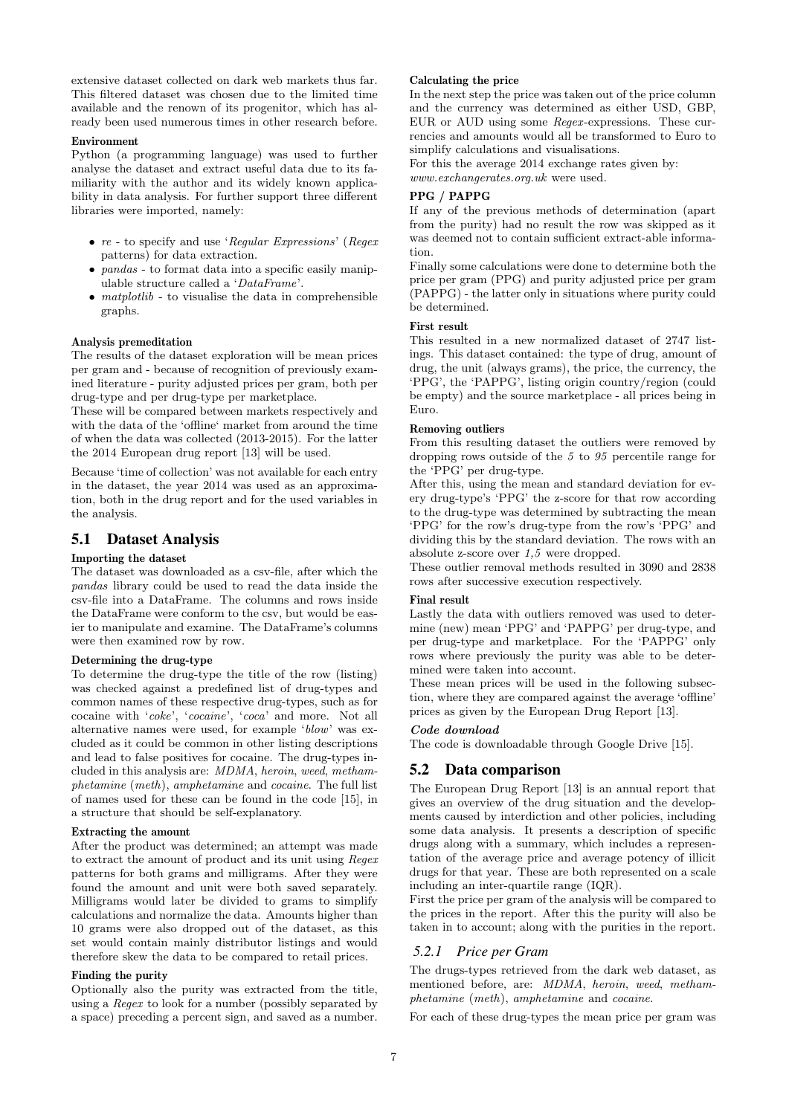extensive dataset collected on dark web markets thus far. This filtered dataset was chosen due to the limited time available and the renown of its progenitor, which has already been used numerous times in other research before.

#### Environment

Python (a programming language) was used to further analyse the dataset and extract useful data due to its familiarity with the author and its widely known applicability in data analysis. For further support three different libraries were imported, namely:

- *re* to specify and use '*Regular Expressions*' (*Regex* patterns) for data extraction.
- *pandas* to format data into a specific easily manipulable structure called a '*DataFrame*'.
- *matplotlib* to visualise the data in comprehensible graphs.

#### Analysis premeditation

The results of the dataset exploration will be mean prices per gram and - because of recognition of previously examined literature - purity adjusted prices per gram, both per drug-type and per drug-type per marketplace.

These will be compared between markets respectively and with the data of the 'offline' market from around the time of when the data was collected (2013-2015). For the latter the 2014 European drug report [13] will be used.

Because 'time of collection' was not available for each entry in the dataset, the year 2014 was used as an approximation, both in the drug report and for the used variables in the analysis.

### 5.1 Dataset Analysis

#### Importing the dataset

The dataset was downloaded as a csv-file, after which the *pandas* library could be used to read the data inside the csv-file into a DataFrame. The columns and rows inside the DataFrame were conform to the csv, but would be easier to manipulate and examine. The DataFrame's columns were then examined row by row.

#### Determining the drug-type

To determine the drug-type the title of the row (listing) was checked against a predefined list of drug-types and common names of these respective drug-types, such as for cocaine with '*coke*', '*cocaine*', '*coca*' and more. Not all alternative names were used, for example '*blow*' was excluded as it could be common in other listing descriptions and lead to false positives for cocaine. The drug-types included in this analysis are: *MDMA*, *heroin*, *weed*, *methamphetamine* (*meth*), *amphetamine* and *cocaine*. The full list of names used for these can be found in the code [15], in a structure that should be self-explanatory.

#### Extracting the amount

After the product was determined; an attempt was made to extract the amount of product and its unit using *Regex* patterns for both grams and milligrams. After they were found the amount and unit were both saved separately. Milligrams would later be divided to grams to simplify calculations and normalize the data. Amounts higher than 10 grams were also dropped out of the dataset, as this set would contain mainly distributor listings and would therefore skew the data to be compared to retail prices.

### Finding the purity

Optionally also the purity was extracted from the title, using a *Regex* to look for a number (possibly separated by a space) preceding a percent sign, and saved as a number.

#### Calculating the price

In the next step the price was taken out of the price column and the currency was determined as either USD, GBP, EUR or AUD using some *Regex* -expressions. These currencies and amounts would all be transformed to Euro to simplify calculations and visualisations.

For this the average 2014 exchange rates given by: *www.exchangerates.org.uk* were used.

#### PPG / PAPPG

If any of the previous methods of determination (apart from the purity) had no result the row was skipped as it was deemed not to contain sufficient extract-able information.

Finally some calculations were done to determine both the price per gram (PPG) and purity adjusted price per gram (PAPPG) - the latter only in situations where purity could be determined.

### First result

This resulted in a new normalized dataset of 2747 listings. This dataset contained: the type of drug, amount of drug, the unit (always grams), the price, the currency, the 'PPG', the 'PAPPG', listing origin country/region (could be empty) and the source marketplace - all prices being in Euro.

#### Removing outliers

From this resulting dataset the outliers were removed by dropping rows outside of the *5* to *95* percentile range for the 'PPG' per drug-type.

After this, using the mean and standard deviation for every drug-type's 'PPG' the z-score for that row according to the drug-type was determined by subtracting the mean 'PPG' for the row's drug-type from the row's 'PPG' and dividing this by the standard deviation. The rows with an absolute z-score over *1,5* were dropped.

These outlier removal methods resulted in 3090 and 2838 rows after successive execution respectively.

#### Final result

Lastly the data with outliers removed was used to determine (new) mean 'PPG' and 'PAPPG' per drug-type, and per drug-type and marketplace. For the 'PAPPG' only rows where previously the purity was able to be determined were taken into account.

These mean prices will be used in the following subsection, where they are compared against the average 'offline' prices as given by the European Drug Report [13].

### Code download

The code is downloadable through Google Drive [15].

#### 5.2 Data comparison

The European Drug Report [13] is an annual report that gives an overview of the drug situation and the developments caused by interdiction and other policies, including some data analysis. It presents a description of specific drugs along with a summary, which includes a representation of the average price and average potency of illicit drugs for that year. These are both represented on a scale including an inter-quartile range (IQR).

First the price per gram of the analysis will be compared to the prices in the report. After this the purity will also be taken in to account; along with the purities in the report.

### *5.2.1 Price per Gram*

The drugs-types retrieved from the dark web dataset, as mentioned before, are: *MDMA*, *heroin*, *weed*, *methamphetamine* (*meth*), *amphetamine* and *cocaine*.

For each of these drug-types the mean price per gram was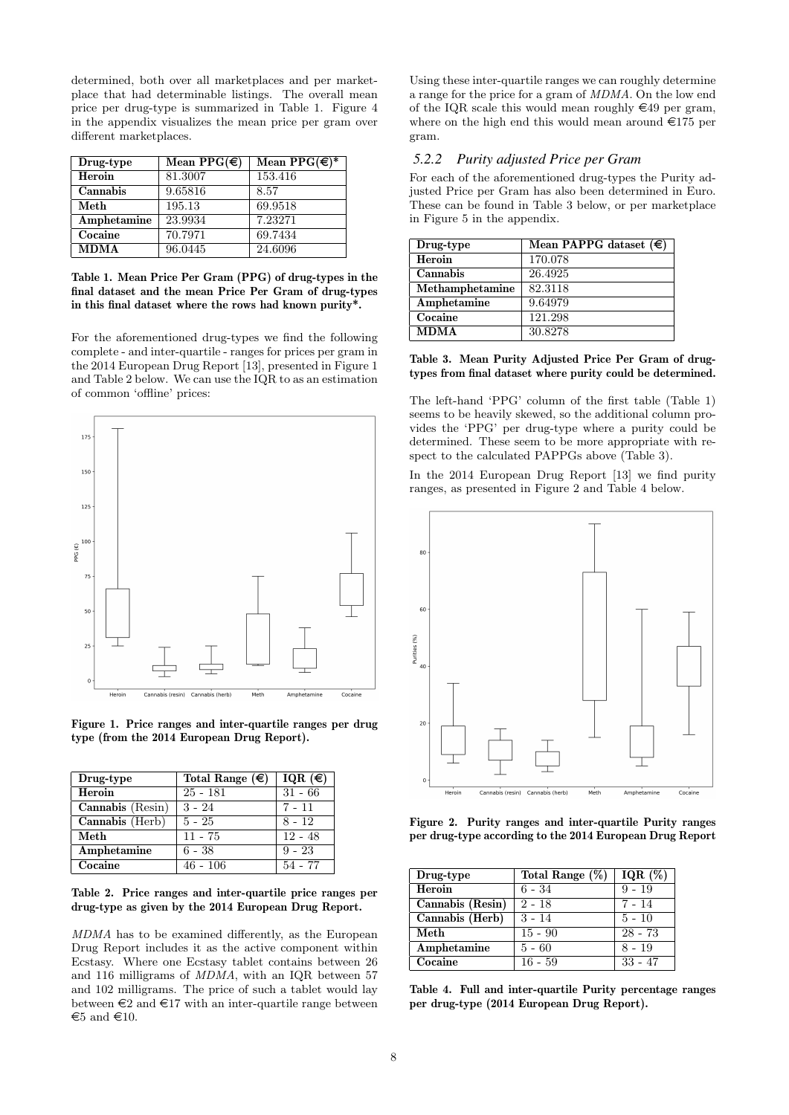determined, both over all marketplaces and per marketplace that had determinable listings. The overall mean price per drug-type is summarized in Table 1. Figure 4 in the appendix visualizes the mean price per gram over different marketplaces.

| Drug-type   | Mean PPG( $\in$ ) | Mean $PPG(\epsilon)$ * |
|-------------|-------------------|------------------------|
| Heroin      | 81.3007           | 153.416                |
| Cannabis    | 9.65816           | 8.57                   |
| Meth        | 195.13            | 69.9518                |
| Amphetamine | 23.9934           | 7.23271                |
| Cocaine     | 70.7971           | 69.7434                |
| <b>MDMA</b> | 96.0445           | 24.6096                |

Table 1. Mean Price Per Gram (PPG) of drug-types in the final dataset and the mean Price Per Gram of drug-types in this final dataset where the rows had known purity\*.

For the aforementioned drug-types we find the following complete - and inter-quartile - ranges for prices per gram in the 2014 European Drug Report [13], presented in Figure 1 and Table 2 below. We can use the IQR to as an estimation of common 'offline' prices:



Figure 1. Price ranges and inter-quartile ranges per drug type (from the 2014 European Drug Report).

| Drug-type        | Total Range $(\epsilon)$ | IQR $(\epsilon)$ |
|------------------|--------------------------|------------------|
| Heroin           | $25 - 181$               | $31 - 66$        |
| Cannabis (Resin) | $3 - 24$                 | $7 - 11$         |
| Cannabis (Herb)  | $5 - 25$                 | $8 - 12$         |
| Meth             | $11 - 75$                | $12 - 48$        |
| Amphetamine      | $6 - 38$                 | $9 - 23$         |
| Cocaine          | $46 - 106$               | 54 - 77          |

Table 2. Price ranges and inter-quartile price ranges per drug-type as given by the 2014 European Drug Report.

*MDMA* has to be examined differently, as the European Drug Report includes it as the active component within Ecstasy. Where one Ecstasy tablet contains between 26 and 116 milligrams of *MDMA*, with an IQR between 57 and 102 milligrams. The price of such a tablet would lay between  $\epsilon$ 2 and  $\epsilon$ 17 with an inter-quartile range between  $€5$  and  $€10$ .

Using these inter-quartile ranges we can roughly determine a range for the price for a gram of *MDMA*. On the low end of the IQR scale this would mean roughly  $\in$ 49 per gram, where on the high end this would mean around  $\epsilon$ 175 per gram.

### *5.2.2 Purity adjusted Price per Gram*

For each of the aforementioned drug-types the Purity adjusted Price per Gram has also been determined in Euro. These can be found in Table 3 below, or per marketplace in Figure 5 in the appendix.

| Drug-type       | Mean PAPPG dataset $(\epsilon)$ |
|-----------------|---------------------------------|
| Heroin          | 170.078                         |
| Cannabis        | 26.4925                         |
| Methamphetamine | 82.3118                         |
| Amphetamine     | 9.64979                         |
| Cocaine         | 121.298                         |
| <b>MDMA</b>     | 30.8278                         |

#### Table 3. Mean Purity Adjusted Price Per Gram of drugtypes from final dataset where purity could be determined.

The left-hand 'PPG' column of the first table (Table 1) seems to be heavily skewed, so the additional column provides the 'PPG' per drug-type where a purity could be determined. These seem to be more appropriate with respect to the calculated PAPPGs above (Table 3).

In the 2014 European Drug Report [13] we find purity ranges, as presented in Figure 2 and Table 4 below.



Figure 2. Purity ranges and inter-quartile Purity ranges per drug-type according to the 2014 European Drug Report

| Drug-type        | Total Range $(\%)$ | $\overline{IQR}$ (%) |
|------------------|--------------------|----------------------|
| Heroin           | $6 - 34$           | $9 - 19$             |
| Cannabis (Resin) | $2 - 18$           | $7 - 14$             |
| Cannabis (Herb)  | $3 - 14$           | $5 - 10$             |
| Meth             | $15 - 90$          | $28 - 73$            |
| Amphetamine      | $5 - 60$           | $8 - 19$             |
| Cocaine          | $16 - 59$          | $33 - 47$            |

Table 4. Full and inter-quartile Purity percentage ranges per drug-type (2014 European Drug Report).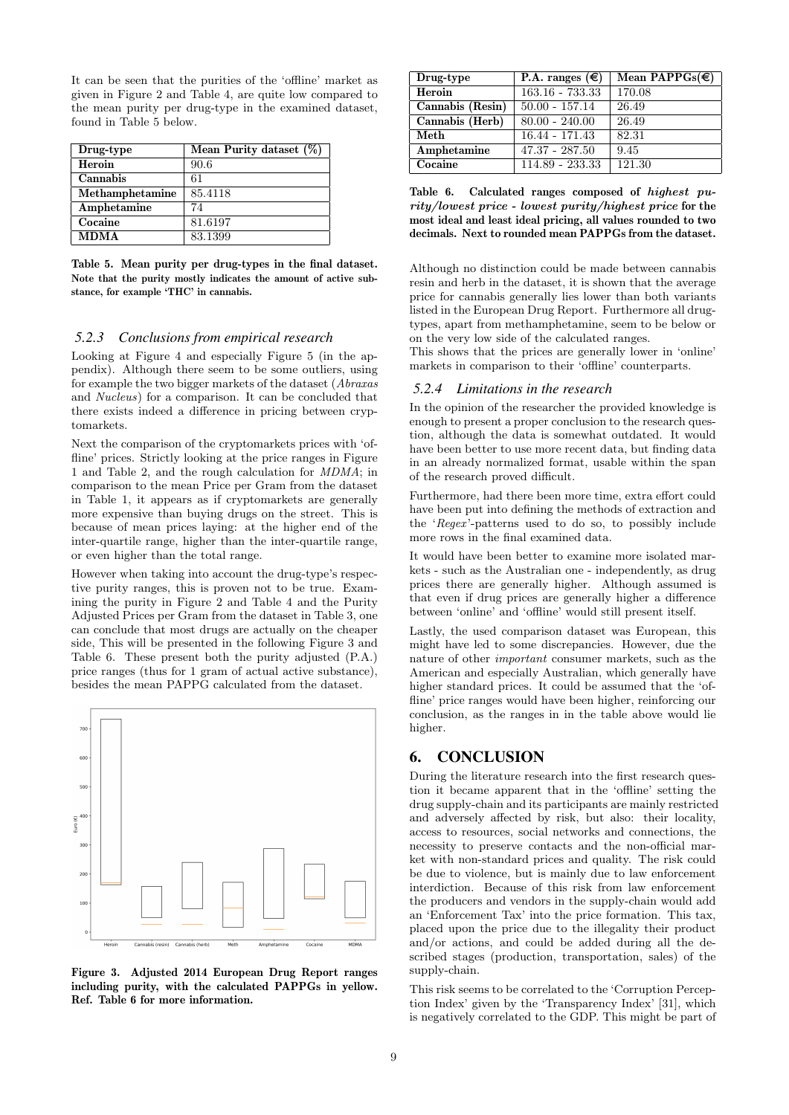It can be seen that the purities of the 'offline' market as given in Figure 2 and Table 4, are quite low compared to the mean purity per drug-type in the examined dataset, found in Table 5 below.

| Drug-type       | Mean Purity dataset $(\%)$ |
|-----------------|----------------------------|
| Heroin          | 90.6                       |
| Cannabis        | 61                         |
| Methamphetamine | 85.4118                    |
| Amphetamine     | 74                         |
| Cocaine         | 81.6197                    |
| <b>MDMA</b>     | 83.1399                    |

Table 5. Mean purity per drug-types in the final dataset. Note that the purity mostly indicates the amount of active substance, for example 'THC' in cannabis.

#### *5.2.3 Conclusions from empirical research*

Looking at Figure 4 and especially Figure 5 (in the appendix). Although there seem to be some outliers, using for example the two bigger markets of the dataset (*Abraxas* and *Nucleus*) for a comparison. It can be concluded that there exists indeed a difference in pricing between cryptomarkets.

Next the comparison of the cryptomarkets prices with 'offline' prices. Strictly looking at the price ranges in Figure 1 and Table 2, and the rough calculation for *MDMA*; in comparison to the mean Price per Gram from the dataset in Table 1, it appears as if cryptomarkets are generally more expensive than buying drugs on the street. This is because of mean prices laying: at the higher end of the inter-quartile range, higher than the inter-quartile range, or even higher than the total range.

However when taking into account the drug-type's respective purity ranges, this is proven not to be true. Examining the purity in Figure 2 and Table 4 and the Purity Adjusted Prices per Gram from the dataset in Table 3, one can conclude that most drugs are actually on the cheaper side, This will be presented in the following Figure 3 and Table 6. These present both the purity adjusted (P.A.) price ranges (thus for 1 gram of actual active substance), besides the mean PAPPG calculated from the dataset.



Figure 3. Adjusted 2014 European Drug Report ranges including purity, with the calculated PAPPGs in yellow. Ref. Table 6 for more information.

| Drug-type        | P.A. ranges $(\epsilon)$ | Mean PAPPGs( $\in$ ) |
|------------------|--------------------------|----------------------|
| Heroin           | $163.16 - 733.33$        | 170.08               |
| Cannabis (Resin) | $50.00 - 157.14$         | 26.49                |
| Cannabis (Herb)  | $80.00 - 240.00$         | 26.49                |
| Meth             | $16.44 - 171.43$         | 82.31                |
| Amphetamine      | $47.37 - 287.50$         | 9.45                 |
| Cocaine          | 114.89 - 233.33          | 121.30               |

Table 6. Calculated ranges composed of highest purity/lowest price - lowest purity/highest price for the most ideal and least ideal pricing, all values rounded to two decimals. Next to rounded mean PAPPGs from the dataset.

Although no distinction could be made between cannabis resin and herb in the dataset, it is shown that the average price for cannabis generally lies lower than both variants listed in the European Drug Report. Furthermore all drugtypes, apart from methamphetamine, seem to be below or on the very low side of the calculated ranges.

This shows that the prices are generally lower in 'online' markets in comparison to their 'offline' counterparts.

#### *5.2.4 Limitations in the research*

In the opinion of the researcher the provided knowledge is enough to present a proper conclusion to the research question, although the data is somewhat outdated. It would have been better to use more recent data, but finding data in an already normalized format, usable within the span of the research proved difficult.

Furthermore, had there been more time, extra effort could have been put into defining the methods of extraction and the '*Regex* '-patterns used to do so, to possibly include more rows in the final examined data.

It would have been better to examine more isolated markets - such as the Australian one - independently, as drug prices there are generally higher. Although assumed is that even if drug prices are generally higher a difference between 'online' and 'offline' would still present itself.

Lastly, the used comparison dataset was European, this might have led to some discrepancies. However, due the nature of other *important* consumer markets, such as the American and especially Australian, which generally have higher standard prices. It could be assumed that the 'offline' price ranges would have been higher, reinforcing our conclusion, as the ranges in in the table above would lie higher.

### 6. CONCLUSION

During the literature research into the first research question it became apparent that in the 'offline' setting the drug supply-chain and its participants are mainly restricted and adversely affected by risk, but also: their locality, access to resources, social networks and connections, the necessity to preserve contacts and the non-official market with non-standard prices and quality. The risk could be due to violence, but is mainly due to law enforcement interdiction. Because of this risk from law enforcement the producers and vendors in the supply-chain would add an 'Enforcement Tax' into the price formation. This tax, placed upon the price due to the illegality their product and/or actions, and could be added during all the described stages (production, transportation, sales) of the supply-chain.

This risk seems to be correlated to the 'Corruption Perception Index' given by the 'Transparency Index' [31], which is negatively correlated to the GDP. This might be part of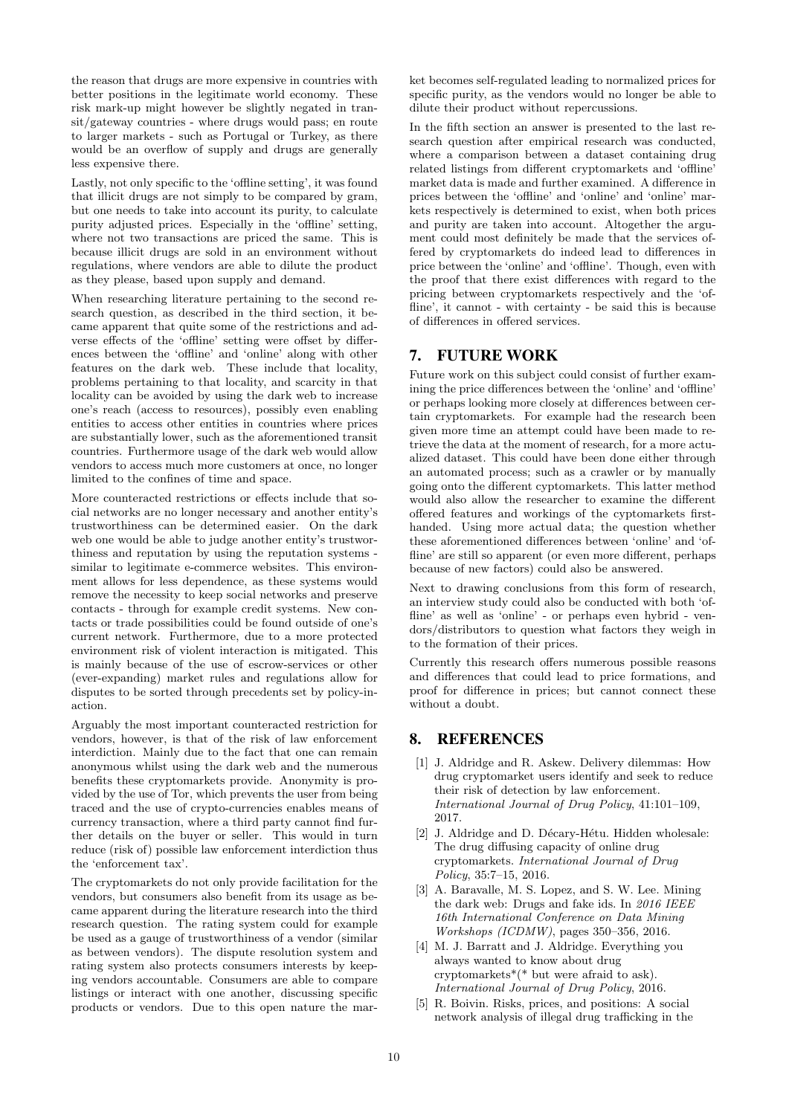the reason that drugs are more expensive in countries with better positions in the legitimate world economy. These risk mark-up might however be slightly negated in transit/gateway countries - where drugs would pass; en route to larger markets - such as Portugal or Turkey, as there would be an overflow of supply and drugs are generally less expensive there.

Lastly, not only specific to the 'offline setting', it was found that illicit drugs are not simply to be compared by gram, but one needs to take into account its purity, to calculate purity adjusted prices. Especially in the 'offline' setting, where not two transactions are priced the same. This is because illicit drugs are sold in an environment without regulations, where vendors are able to dilute the product as they please, based upon supply and demand.

When researching literature pertaining to the second research question, as described in the third section, it became apparent that quite some of the restrictions and adverse effects of the 'offline' setting were offset by differences between the 'offline' and 'online' along with other features on the dark web. These include that locality, problems pertaining to that locality, and scarcity in that locality can be avoided by using the dark web to increase one's reach (access to resources), possibly even enabling entities to access other entities in countries where prices are substantially lower, such as the aforementioned transit countries. Furthermore usage of the dark web would allow vendors to access much more customers at once, no longer limited to the confines of time and space.

More counteracted restrictions or effects include that social networks are no longer necessary and another entity's trustworthiness can be determined easier. On the dark web one would be able to judge another entity's trustworthiness and reputation by using the reputation systems similar to legitimate e-commerce websites. This environment allows for less dependence, as these systems would remove the necessity to keep social networks and preserve contacts - through for example credit systems. New contacts or trade possibilities could be found outside of one's current network. Furthermore, due to a more protected environment risk of violent interaction is mitigated. This is mainly because of the use of escrow-services or other (ever-expanding) market rules and regulations allow for disputes to be sorted through precedents set by policy-inaction.

Arguably the most important counteracted restriction for vendors, however, is that of the risk of law enforcement interdiction. Mainly due to the fact that one can remain anonymous whilst using the dark web and the numerous benefits these cryptomarkets provide. Anonymity is provided by the use of Tor, which prevents the user from being traced and the use of crypto-currencies enables means of currency transaction, where a third party cannot find further details on the buyer or seller. This would in turn reduce (risk of) possible law enforcement interdiction thus the 'enforcement tax'.

The cryptomarkets do not only provide facilitation for the vendors, but consumers also benefit from its usage as became apparent during the literature research into the third research question. The rating system could for example be used as a gauge of trustworthiness of a vendor (similar as between vendors). The dispute resolution system and rating system also protects consumers interests by keeping vendors accountable. Consumers are able to compare listings or interact with one another, discussing specific products or vendors. Due to this open nature the mar-

ket becomes self-regulated leading to normalized prices for specific purity, as the vendors would no longer be able to dilute their product without repercussions.

In the fifth section an answer is presented to the last research question after empirical research was conducted, where a comparison between a dataset containing drug related listings from different cryptomarkets and 'offline' market data is made and further examined. A difference in prices between the 'offline' and 'online' and 'online' markets respectively is determined to exist, when both prices and purity are taken into account. Altogether the argument could most definitely be made that the services offered by cryptomarkets do indeed lead to differences in price between the 'online' and 'offline'. Though, even with the proof that there exist differences with regard to the pricing between cryptomarkets respectively and the 'offline', it cannot - with certainty - be said this is because of differences in offered services.

# 7. FUTURE WORK

Future work on this subject could consist of further examining the price differences between the 'online' and 'offline' or perhaps looking more closely at differences between certain cryptomarkets. For example had the research been given more time an attempt could have been made to retrieve the data at the moment of research, for a more actualized dataset. This could have been done either through an automated process; such as a crawler or by manually going onto the different cyptomarkets. This latter method would also allow the researcher to examine the different offered features and workings of the cyptomarkets firsthanded. Using more actual data; the question whether these aforementioned differences between 'online' and 'offline' are still so apparent (or even more different, perhaps because of new factors) could also be answered.

Next to drawing conclusions from this form of research, an interview study could also be conducted with both 'offline' as well as 'online' - or perhaps even hybrid - vendors/distributors to question what factors they weigh in to the formation of their prices.

Currently this research offers numerous possible reasons and differences that could lead to price formations, and proof for difference in prices; but cannot connect these without a doubt.

# 8. REFERENCES

- [1] J. Aldridge and R. Askew. Delivery dilemmas: How drug cryptomarket users identify and seek to reduce their risk of detection by law enforcement. *International Journal of Drug Policy*, 41:101–109, 2017.
- [2] J. Aldridge and D. Décary-Hétu. Hidden wholesale: The drug diffusing capacity of online drug cryptomarkets. *International Journal of Drug Policy*, 35:7–15, 2016.
- [3] A. Baravalle, M. S. Lopez, and S. W. Lee. Mining the dark web: Drugs and fake ids. In *2016 IEEE 16th International Conference on Data Mining Workshops (ICDMW)*, pages 350–356, 2016.
- [4] M. J. Barratt and J. Aldridge. Everything you always wanted to know about drug cryptomarkets\*(\* but were afraid to ask). *International Journal of Drug Policy*, 2016.
- [5] R. Boivin. Risks, prices, and positions: A social network analysis of illegal drug trafficking in the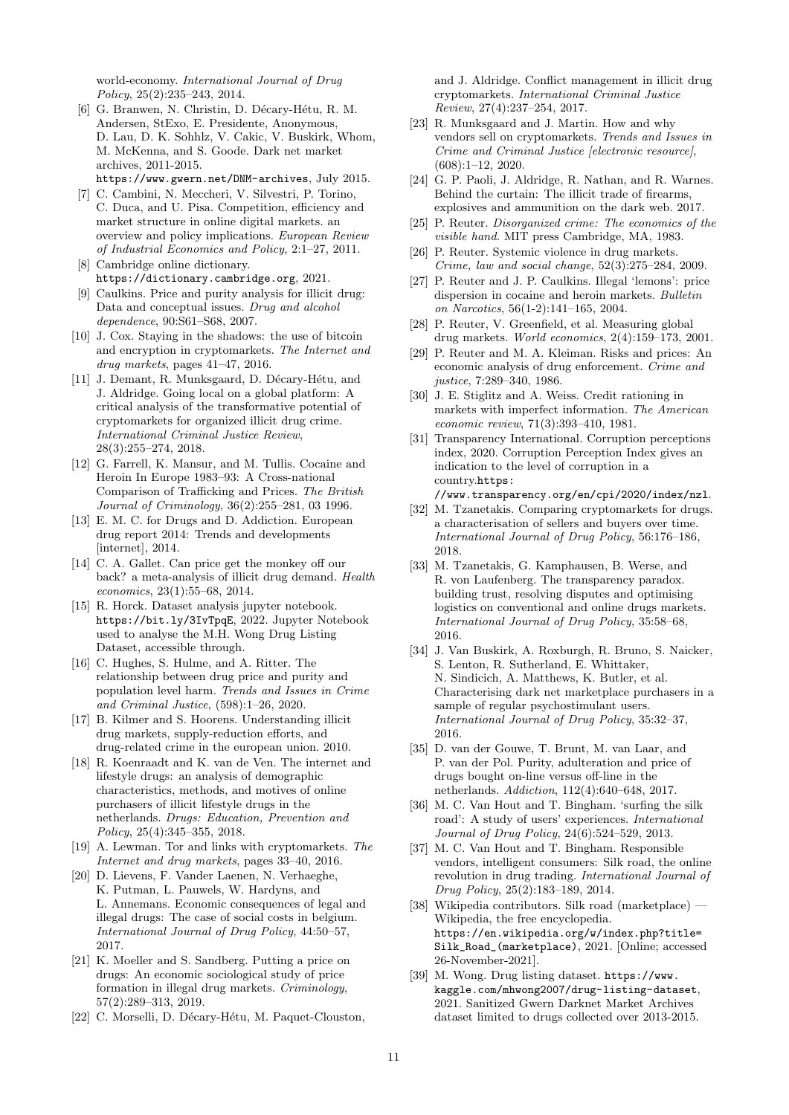world-economy. *International Journal of Drug Policy*, 25(2):235–243, 2014.

- [6] G. Branwen, N. Christin, D. Décary-Hétu, R. M. Andersen, StExo, E. Presidente, Anonymous, D. Lau, D. K. Sohhlz, V. Cakic, V. Buskirk, Whom, M. McKenna, and S. Goode. Dark net market archives, 2011-2015. https://www.gwern.net/DNM-archives, July 2015.
- [7] C. Cambini, N. Meccheri, V. Silvestri, P. Torino, C. Duca, and U. Pisa. Competition, efficiency and market structure in online digital markets. an overview and policy implications. *European Review of Industrial Economics and Policy*, 2:1–27, 2011.
- [8] Cambridge online dictionary. https://dictionary.cambridge.org, 2021.
- [9] Caulkins. Price and purity analysis for illicit drug: Data and conceptual issues. *Drug and alcohol dependence*, 90:S61–S68, 2007.
- [10] J. Cox. Staying in the shadows: the use of bitcoin and encryption in cryptomarkets. *The Internet and drug markets*, pages 41–47, 2016.
- [11] J. Demant, R. Munksgaard, D. Décary-Hétu, and J. Aldridge. Going local on a global platform: A critical analysis of the transformative potential of cryptomarkets for organized illicit drug crime. *International Criminal Justice Review*, 28(3):255–274, 2018.
- [12] G. Farrell, K. Mansur, and M. Tullis. Cocaine and Heroin In Europe 1983–93: A Cross-national Comparison of Trafficking and Prices. *The British Journal of Criminology*, 36(2):255–281, 03 1996.
- [13] E. M. C. for Drugs and D. Addiction. European drug report 2014: Trends and developments [internet], 2014.
- [14] C. A. Gallet. Can price get the monkey off our back? a meta-analysis of illicit drug demand. *Health economics*, 23(1):55–68, 2014.
- [15] R. Horck. Dataset analysis jupyter notebook. https://bit.ly/3IvTpqE, 2022. Jupyter Notebook used to analyse the M.H. Wong Drug Listing Dataset, accessible through.
- [16] C. Hughes, S. Hulme, and A. Ritter. The relationship between drug price and purity and population level harm. *Trends and Issues in Crime and Criminal Justice*, (598):1–26, 2020.
- [17] B. Kilmer and S. Hoorens. Understanding illicit drug markets, supply-reduction efforts, and drug-related crime in the european union. 2010.
- [18] R. Koenraadt and K. van de Ven. The internet and lifestyle drugs: an analysis of demographic characteristics, methods, and motives of online purchasers of illicit lifestyle drugs in the netherlands. *Drugs: Education, Prevention and Policy*, 25(4):345–355, 2018.
- [19] A. Lewman. Tor and links with cryptomarkets. *The Internet and drug markets*, pages 33–40, 2016.
- [20] D. Lievens, F. Vander Laenen, N. Verhaeghe, K. Putman, L. Pauwels, W. Hardyns, and L. Annemans. Economic consequences of legal and illegal drugs: The case of social costs in belgium. *International Journal of Drug Policy*, 44:50–57, 2017.
- [21] K. Moeller and S. Sandberg. Putting a price on drugs: An economic sociological study of price formation in illegal drug markets. *Criminology*, 57(2):289–313, 2019.
- [22] C. Morselli, D. Décary-Hétu, M. Paquet-Clouston,

and J. Aldridge. Conflict management in illicit drug cryptomarkets. *International Criminal Justice Review*, 27(4):237–254, 2017.

- [23] R. Munksgaard and J. Martin. How and why vendors sell on cryptomarkets. *Trends and Issues in Crime and Criminal Justice [electronic resource]*, (608):1–12, 2020.
- [24] G. P. Paoli, J. Aldridge, R. Nathan, and R. Warnes. Behind the curtain: The illicit trade of firearms, explosives and ammunition on the dark web. 2017.
- [25] P. Reuter. *Disorganized crime: The economics of the visible hand*. MIT press Cambridge, MA, 1983.
- [26] P. Reuter. Systemic violence in drug markets. *Crime, law and social change*, 52(3):275–284, 2009.
- [27] P. Reuter and J. P. Caulkins. Illegal 'lemons': price dispersion in cocaine and heroin markets. *Bulletin on Narcotics*, 56(1-2):141–165, 2004.
- [28] P. Reuter, V. Greenfield, et al. Measuring global drug markets. *World economics*, 2(4):159–173, 2001.
- [29] P. Reuter and M. A. Kleiman. Risks and prices: An economic analysis of drug enforcement. *Crime and justice*, 7:289–340, 1986.
- [30] J. E. Stiglitz and A. Weiss. Credit rationing in markets with imperfect information. *The American economic review*, 71(3):393–410, 1981.
- [31] Transparency International. Corruption perceptions index, 2020. Corruption Perception Index gives an indication to the level of corruption in a country.https: //www.transparency.org/en/cpi/2020/index/nzl.
- [32] M. Tzanetakis. Comparing cryptomarkets for drugs.
- a characterisation of sellers and buyers over time. *International Journal of Drug Policy*, 56:176–186, 2018.
- [33] M. Tzanetakis, G. Kamphausen, B. Werse, and R. von Laufenberg. The transparency paradox. building trust, resolving disputes and optimising logistics on conventional and online drugs markets. *International Journal of Drug Policy*, 35:58–68, 2016.
- [34] J. Van Buskirk, A. Roxburgh, R. Bruno, S. Naicker, S. Lenton, R. Sutherland, E. Whittaker, N. Sindicich, A. Matthews, K. Butler, et al. Characterising dark net marketplace purchasers in a sample of regular psychostimulant users. *International Journal of Drug Policy*, 35:32–37, 2016.
- [35] D. van der Gouwe, T. Brunt, M. van Laar, and P. van der Pol. Purity, adulteration and price of drugs bought on-line versus off-line in the netherlands. *Addiction*, 112(4):640–648, 2017.
- [36] M. C. Van Hout and T. Bingham. 'surfing the silk road': A study of users' experiences. *International Journal of Drug Policy*, 24(6):524–529, 2013.
- [37] M. C. Van Hout and T. Bingham. Responsible vendors, intelligent consumers: Silk road, the online revolution in drug trading. *International Journal of Drug Policy*, 25(2):183–189, 2014.
- [38] Wikipedia contributors. Silk road (marketplace) Wikipedia, the free encyclopedia. https://en.wikipedia.org/w/index.php?title= Silk\_Road\_(marketplace), 2021. [Online; accessed 26-November-2021].
- [39] M. Wong. Drug listing dataset. https://www. kaggle.com/mhwong2007/drug-listing-dataset, 2021. Sanitized Gwern Darknet Market Archives dataset limited to drugs collected over 2013-2015.